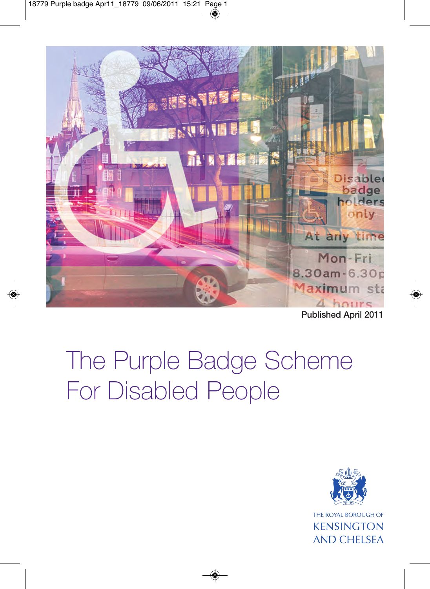

**Published April 2011**

# The Purple Badge Scheme For Disabled People



**KENSINGTON AND CHELSEA**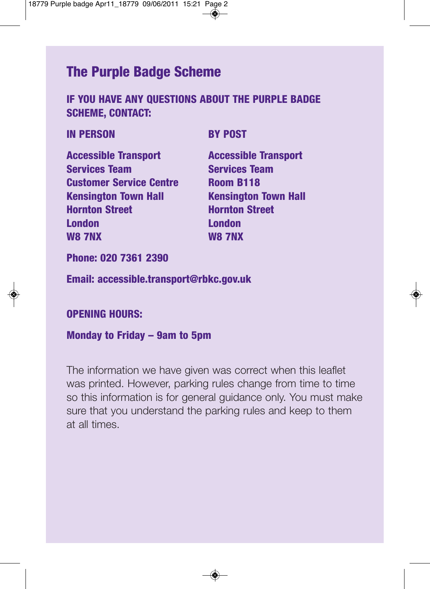# **The Purple Badge Scheme**

#### **IF YOU HAVE ANY QUESTIONS ABOUT THE PURPLE BADGE SCHEME, CONTACT:**

#### **IN PERSON BY POST**

**Accessible Transport Accessible Transport Services Team Services Team Customer Service Centre Room B118 Kensington Town Hall Kensington Town Hall Hornton Street Hornton Street London London W8 7NX W8 7NX**

**Phone: 020 7361 2390**

**Email: accessible.transport@rbkc.gov.uk** 

#### **OPENING HOURS:**

#### **Monday to Friday – 9am to 5pm**

The information we have given was correct when this leaflet was printed. However, parking rules change from time to time so this information is for general guidance only. You must make sure that you understand the parking rules and keep to them at all times.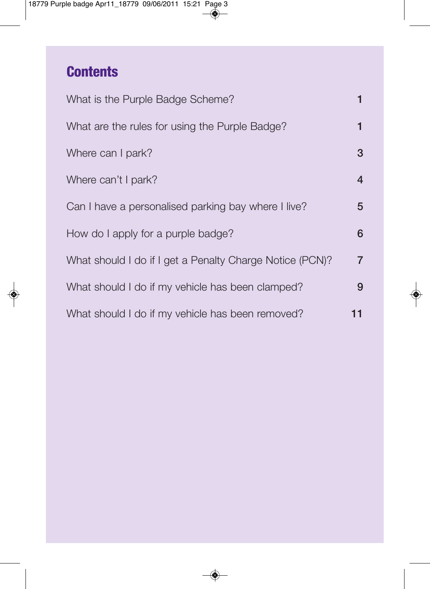# **Contents**

| What is the Purple Badge Scheme?                         |                |
|----------------------------------------------------------|----------------|
| What are the rules for using the Purple Badge?           |                |
| Where can I park?                                        | 3              |
| Where can't I park?                                      | 4              |
| Can I have a personalised parking bay where I live?      | 5              |
| How do I apply for a purple badge?                       | 6              |
| What should I do if I get a Penalty Charge Notice (PCN)? | $\overline{7}$ |
| What should I do if my vehicle has been clamped?         | 9              |
| What should I do if my vehicle has been removed?         | 11             |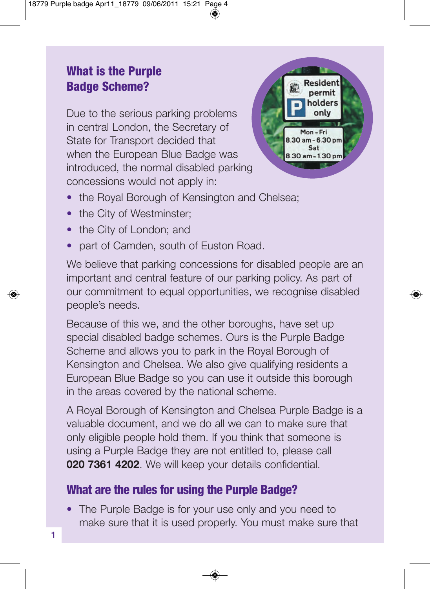# **What is the Purple Badge Scheme?**

Due to the serious parking problems in central London, the Secretary of State for Transport decided that when the European Blue Badge was introduced, the normal disabled parking concessions would not apply in:



- the Royal Borough of Kensington and Chelsea;
- the City of Westminster;
- the City of London; and
- part of Camden, south of Euston Road.

We believe that parking concessions for disabled people are an important and central feature of our parking policy. As part of our commitment to equal opportunities, we recognise disabled people's needs.

Because of this we, and the other boroughs, have set up special disabled badge schemes. Ours is the Purple Badge Scheme and allows you to park in the Royal Borough of Kensington and Chelsea. We also give qualifying residents a European Blue Badge so you can use it outside this borough in the areas covered by the national scheme.

A Royal Borough of Kensington and Chelsea Purple Badge is a valuable document, and we do all we can to make sure that only eligible people hold them. If you think that someone is using a Purple Badge they are not entitled to, please call **020 7361 4202**. We will keep your details confidential.

# **What are the rules for using the Purple Badge?**

• The Purple Badge is for your use only and you need to make sure that it is used properly. You must make sure that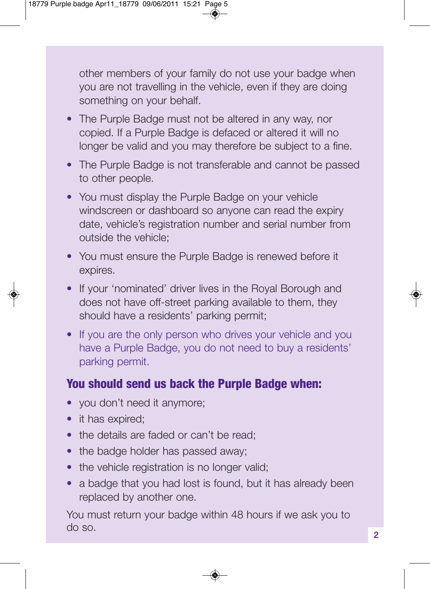other members of your family do not use your badge when you are not travelling in the vehicle, even if they are doing something on your behalf.

- The Purple Badge must not be altered in any way, nor copied. If a Purple Badge is defaced or altered it will no longer be valid and you may therefore be subject to a fine.
- The Purple Badge is not transferable and cannot be passed to other people.
- You must display the Purple Badge on your vehicle windscreen or dashboard so anyone can read the expiry date, vehicle's registration number and serial number from outside the vehicle;
- You must ensure the Purple Badge is renewed before it expires.
- If your 'nominated' driver lives in the Royal Borough and does not have off-street parking available to them, they should have a residents' parking permit;
- If you are the only person who drives your vehicle and you have a Purple Badge, you do not need to buy a residents' parking permit.

### **You should send us back the Purple Badge when:**

- you don't need it anymore;
- it has expired;
- the details are faded or can't be read:
- the badge holder has passed away;
- the vehicle registration is no longer valid;
- a badge that you had lost is found, but it has already been replaced by another one.

You must return your badge within 48 hours if we ask you to do so.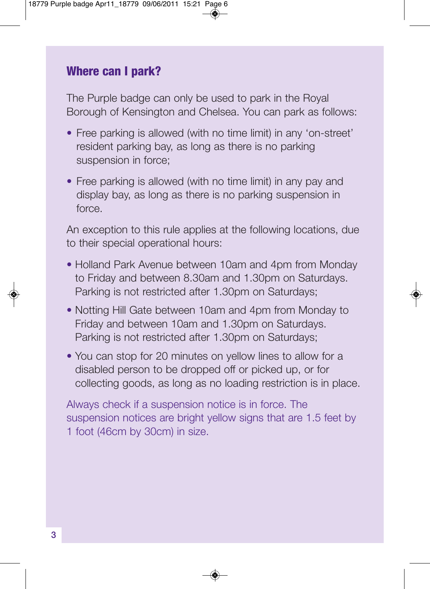#### **Where can I park?**

The Purple badge can only be used to park in the Royal Borough of Kensington and Chelsea. You can park as follows:

- Free parking is allowed (with no time limit) in any 'on-street' resident parking bay, as long as there is no parking suspension in force;
- Free parking is allowed (with no time limit) in any pay and display bay, as long as there is no parking suspension in force.

An exception to this rule applies at the following locations, due to their special operational hours:

- Holland Park Avenue between 10am and 4pm from Monday to Friday and between 8.30am and 1.30pm on Saturdays. Parking is not restricted after 1.30pm on Saturdays;
- Notting Hill Gate between 10am and 4pm from Monday to Friday and between 10am and 1.30pm on Saturdays. Parking is not restricted after 1.30pm on Saturdays;
- You can stop for 20 minutes on yellow lines to allow for a disabled person to be dropped off or picked up, or for collecting goods, as long as no loading restriction is in place.

Always check if a suspension notice is in force. The suspension notices are bright yellow signs that are 1.5 feet by 1 foot (46cm by 30cm) in size.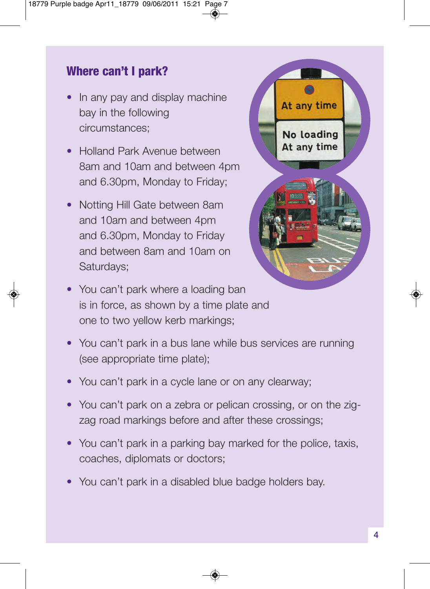# **Where can't I park?**

- In any pay and display machine bay in the following circumstances;
- Holland Park Avenue between 8am and 10am and between 4pm and 6.30pm, Monday to Friday;
- Notting Hill Gate between 8am and 10am and between 4pm and 6.30pm, Monday to Friday and between 8am and 10am on Saturdays;



- You can't park where a loading ban is in force, as shown by a time plate and one to two yellow kerb markings;
- You can't park in a bus lane while bus services are running (see appropriate time plate);
- You can't park in a cycle lane or on any clearway:
- You can't park on a zebra or pelican crossing, or on the zigzag road markings before and after these crossings;
- You can't park in a parking bay marked for the police, taxis, coaches, diplomats or doctors;
- You can't park in a disabled blue badge holders bay.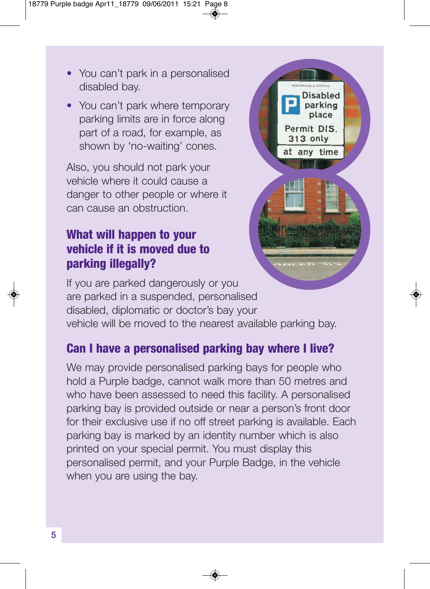- You can't park in a personalised disabled bay.
- You can't park where temporary parking limits are in force along part of a road, for example, as shown by 'no-waiting' cones.

Also, you should not park your vehicle where it could cause a danger to other people or where it can cause an obstruction.

# **What will happen to your vehicle if it is moved due to parking illegally?**



If you are parked dangerously or you are parked in a suspended, personalised disabled, diplomatic or doctor's bay your vehicle will be moved to the nearest available parking bay.

# **Can I have a personalised parking bay where I live?**

We may provide personalised parking bays for people who hold a Purple badge, cannot walk more than 50 metres and who have been assessed to need this facility. A personalised parking bay is provided outside or near a person's front door for their exclusive use if no off street parking is available. Each parking bay is marked by an identity number which is also printed on your special permit. You must display this personalised permit, and your Purple Badge, in the vehicle when you are using the bay.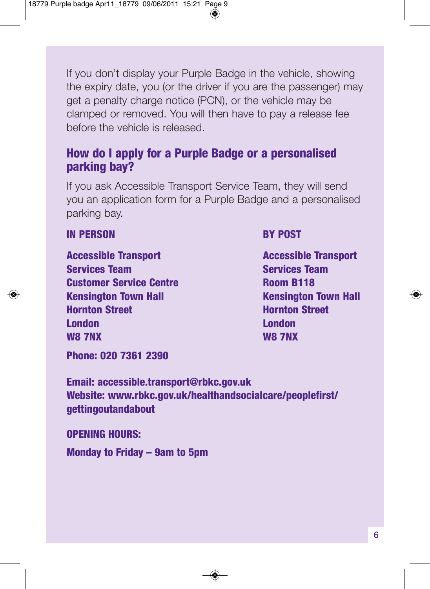If you don't display your Purple Badge in the vehicle, showing the expiry date, you (or the driver if you are the passenger) may get a penalty charge notice (PCN), or the vehicle may be clamped or removed. You will then have to pay a release fee before the vehicle is released.

### **How do I apply for a Purple Badge or a personalised parking bay?**

If you ask Accessible Transport Service Team, they will send you an application form for a Purple Badge and a personalised parking bay.

#### **IN PERSON BY POST**

**Accessible Transport Accessible Transport Accessible Transport Services Team Services Team Customer Service Centre Room B118 Kensington Town Hall Kensington Town Hall Hornton Street Hornton Street London London W8 7NX W8 7NX**

**Phone: 020 7361 2390**

**Email: accessible.transport@rbkc.gov.uk Website: www.rbkc.gov.uk/healthandsocialcare/peoplefirst/ gettingoutandabout**

**OPENING HOURS:**

**Monday to Friday – 9am to 5pm**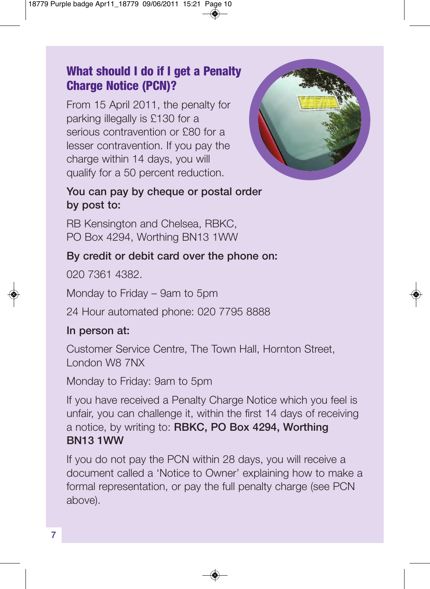# **What should I do if I get a Penalty Charge Notice (PCN)?**

From 15 April 2011, the penalty for parking illegally is £130 for a serious contravention or £80 for a lesser contravention. If you pay the charge within 14 days, you will qualify for a 50 percent reduction.



### **You can pay by cheque or postal order by post to:**

RB Kensington and Chelsea, RBKC, PO Box 4294, Worthing BN13 1WW

### **By credit or debit card over the phone on:**

020 7361 4382.

Monday to Friday – 9am to 5pm

24 Hour automated phone: 020 7795 8888

### **In person at:**

Customer Service Centre, The Town Hall, Hornton Street, London W8 7NX

Monday to Friday: 9am to 5pm

If you have received a Penalty Charge Notice which you feel is unfair, you can challenge it, within the first 14 days of receiving a notice, by writing to: **RBKC, PO Box 4294, Worthing BN13 1WW**

If you do not pay the PCN within 28 days, you will receive a document called a 'Notice to Owner' explaining how to make a formal representation, or pay the full penalty charge (see PCN above).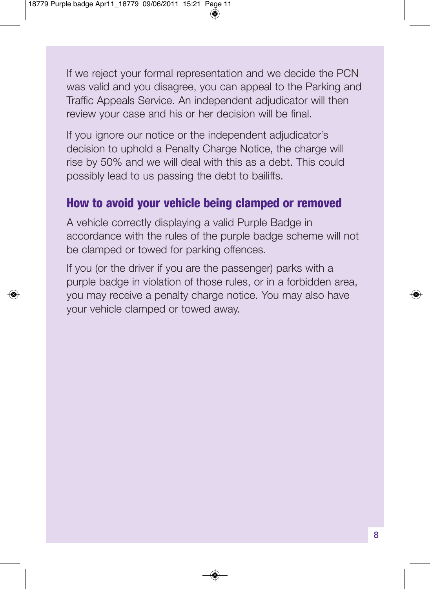If we reject your formal representation and we decide the PCN was valid and you disagree, you can appeal to the Parking and Traffic Appeals Service. An independent adjudicator will then review your case and his or her decision will be final.

If you ignore our notice or the independent adjudicator's decision to uphold a Penalty Charge Notice, the charge will rise by 50% and we will deal with this as a debt. This could possibly lead to us passing the debt to bailiffs.

# **How to avoid your vehicle being clamped or removed**

A vehicle correctly displaying a valid Purple Badge in accordance with the rules of the purple badge scheme will not be clamped or towed for parking offences.

If you (or the driver if you are the passenger) parks with a purple badge in violation of those rules, or in a forbidden area, you may receive a penalty charge notice. You may also have your vehicle clamped or towed away.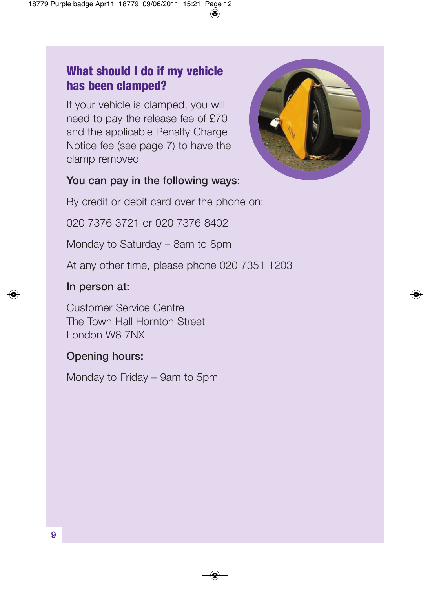# **What should I do if my vehicle has been clamped?**

If your vehicle is clamped, you will need to pay the release fee of £70 and the applicable Penalty Charge Notice fee (see page 7) to have the clamp removed



#### **You can pay in the following ways:**

By credit or debit card over the phone on:

020 7376 3721 or 020 7376 8402

Monday to Saturday – 8am to 8pm

At any other time, please phone 020 7351 1203

#### **In person at:**

Customer Service Centre The Town Hall Hornton Street London W8 7NX

### **Opening hours:**

Monday to Friday – 9am to 5pm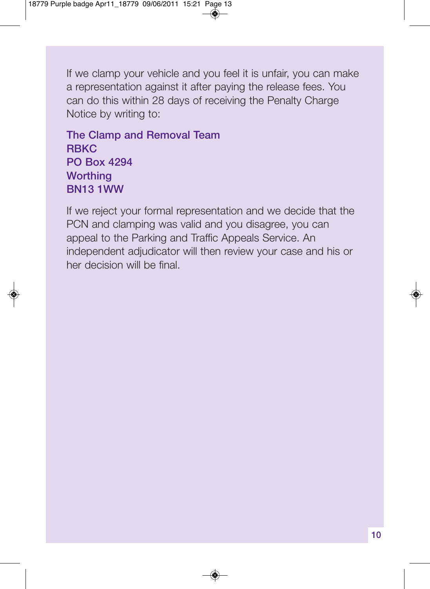If we clamp your vehicle and you feel it is unfair, you can make a representation against it after paying the release fees. You can do this within 28 days of receiving the Penalty Charge Notice by writing to:

**The Clamp and Removal Team RBKC PO Box 4294 Worthing BN13 1WW**

If we reject your formal representation and we decide that the PCN and clamping was valid and you disagree, you can appeal to the Parking and Traffic Appeals Service. An independent adjudicator will then review your case and his or her decision will be final.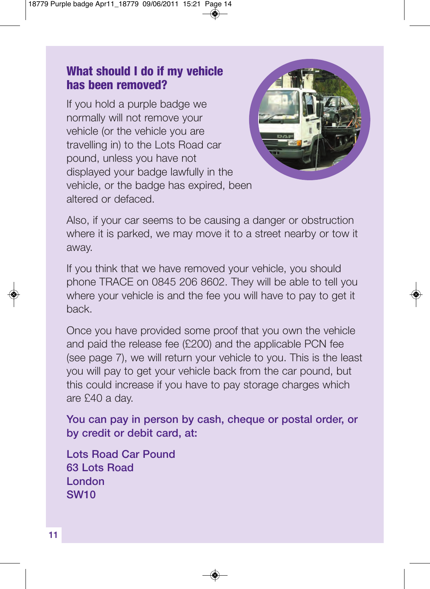### **What should I do if my vehicle has been removed?**

If you hold a purple badge we normally will not remove your vehicle (or the vehicle you are travelling in) to the Lots Road car pound, unless you have not displayed your badge lawfully in the vehicle, or the badge has expired, been altered or defaced.



Also, if your car seems to be causing a danger or obstruction where it is parked, we may move it to a street nearby or tow it away.

If you think that we have removed your vehicle, you should phone TRACE on 0845 206 8602. They will be able to tell you where your vehicle is and the fee you will have to pay to get it back.

Once you have provided some proof that you own the vehicle and paid the release fee (£200) and the applicable PCN fee (see page 7), we will return your vehicle to you. This is the least you will pay to get your vehicle back from the car pound, but this could increase if you have to pay storage charges which are £40 a day.

**You can pay in person by cash, cheque or postal order, or by credit or debit card, at:**

**Lots Road Car Pound 63 Lots Road London SW10**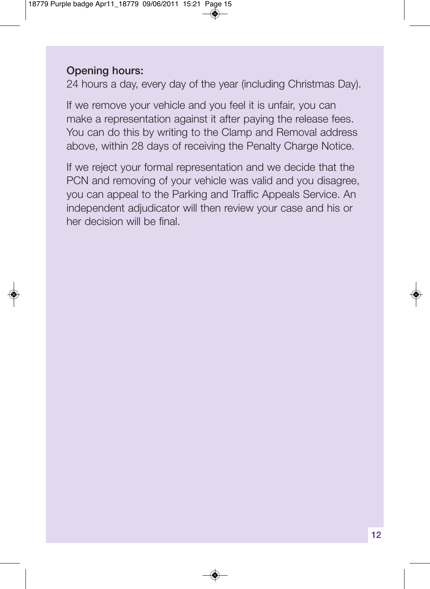#### **Opening hours:**

24 hours a day, every day of the year (including Christmas Day).

If we remove your vehicle and you feel it is unfair, you can make a representation against it after paying the release fees. You can do this by writing to the Clamp and Removal address above, within 28 days of receiving the Penalty Charge Notice.

If we reject your formal representation and we decide that the PCN and removing of your vehicle was valid and you disagree, you can appeal to the Parking and Traffic Appeals Service. An independent adjudicator will then review your case and his or her decision will be final.